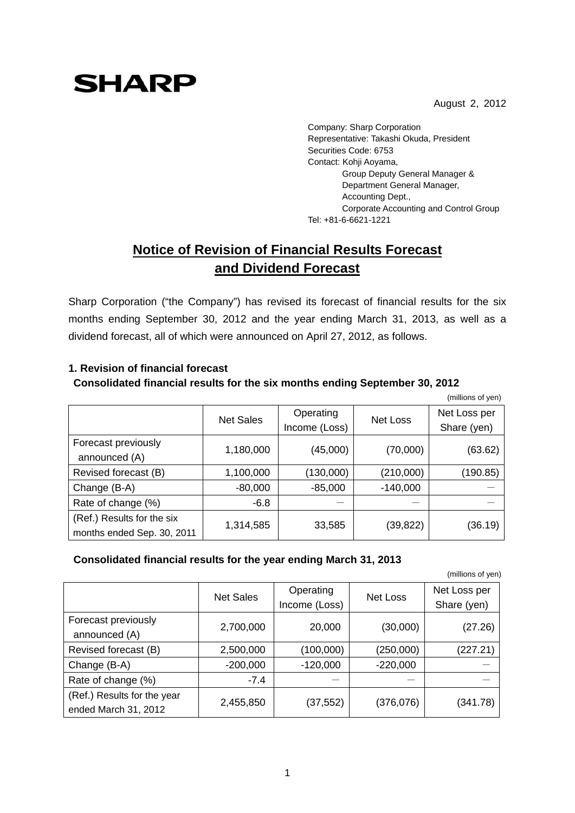August 2, 2012

**SHARP** 

Company: Sharp Corporation Representative: Takashi Okuda, President Securities Code: 6753 Contact: Kohji Aoyama, Group Deputy General Manager & Department General Manager, Accounting Dept., Corporate Accounting and Control Group Tel: +81-6-6621-1221

# **Notice of Revision of Financial Results Forecast and Dividend Forecast**

Sharp Corporation ("the Company") has revised its forecast of financial results for the six months ending September 30, 2012 and the year ending March 31, 2013, as well as a dividend forecast, all of which were announced on April 27, 2012, as follows.

## **1. Revision of financial forecast**

## **Consolidated financial results for the six months ending September 30, 2012**

|                                                          |                  |                            |            | (millions of yen)           |
|----------------------------------------------------------|------------------|----------------------------|------------|-----------------------------|
|                                                          | <b>Net Sales</b> | Operating<br>Income (Loss) | Net Loss   | Net Loss per<br>Share (yen) |
| Forecast previously<br>announced (A)                     | 1,180,000        | (45,000)                   | (70,000)   | (63.62)                     |
| Revised forecast (B)                                     | 1,100,000        | (130,000)                  | (210,000)  | (190.85)                    |
| Change (B-A)                                             | $-80,000$        | $-85,000$                  | $-140,000$ |                             |
| Rate of change (%)                                       | $-6.8$           |                            |            |                             |
| (Ref.) Results for the six<br>months ended Sep. 30, 2011 | 1,314,585        | 33,585                     | (39,822)   | (36.19)                     |

#### **Consolidated financial results for the year ending March 31, 2013**

(millions of yen)

|                                                     | <b>Net Sales</b> | Operating<br>Income (Loss) | Net Loss   | Net Loss per<br>Share (yen) |
|-----------------------------------------------------|------------------|----------------------------|------------|-----------------------------|
| Forecast previously<br>announced (A)                | 2,700,000        | 20,000                     | (30,000)   | (27.26)                     |
| Revised forecast (B)                                | 2,500,000        | (100,000)                  | (250,000)  | (227.21)                    |
| Change (B-A)                                        | $-200,000$       | $-120,000$                 | $-220,000$ |                             |
| Rate of change (%)                                  | $-7.4$           |                            |            |                             |
| (Ref.) Results for the year<br>ended March 31, 2012 | 2,455,850        | (37, 552)                  | (376,076)  | (341.78)                    |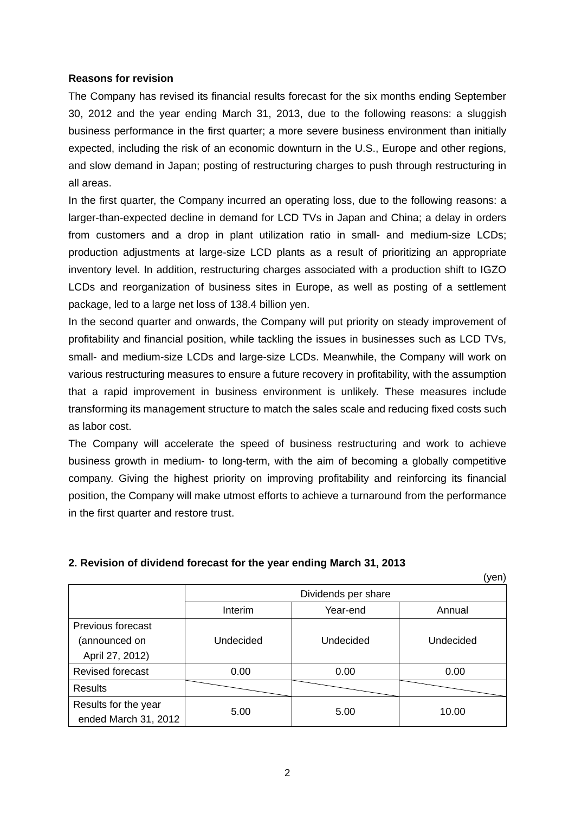#### **Reasons for revision**

The Company has revised its financial results forecast for the six months ending September 30, 2012 and the year ending March 31, 2013, due to the following reasons: a sluggish business performance in the first quarter; a more severe business environment than initially expected, including the risk of an economic downturn in the U.S., Europe and other regions, and slow demand in Japan; posting of restructuring charges to push through restructuring in all areas.

In the first quarter, the Company incurred an operating loss, due to the following reasons: a larger-than-expected decline in demand for LCD TVs in Japan and China; a delay in orders from customers and a drop in plant utilization ratio in small- and medium-size LCDs; production adjustments at large-size LCD plants as a result of prioritizing an appropriate inventory level. In addition, restructuring charges associated with a production shift to IGZO LCDs and reorganization of business sites in Europe, as well as posting of a settlement package, led to a large net loss of 138.4 billion yen.

In the second quarter and onwards, the Company will put priority on steady improvement of profitability and financial position, while tackling the issues in businesses such as LCD TVs, small- and medium-size LCDs and large-size LCDs. Meanwhile, the Company will work on various restructuring measures to ensure a future recovery in profitability, with the assumption that a rapid improvement in business environment is unlikely. These measures include transforming its management structure to match the sales scale and reducing fixed costs such as labor cost.

The Company will accelerate the speed of business restructuring and work to achieve business growth in medium- to long-term, with the aim of becoming a globally competitive company. Giving the highest priority on improving profitability and reinforcing its financial position, the Company will make utmost efforts to achieve a turnaround from the performance in the first quarter and restore trust.

#### **2. Revision of dividend forecast for the year ending March 31, 2013**

(yen)

|                      | Dividends per share |           |           |  |  |
|----------------------|---------------------|-----------|-----------|--|--|
|                      | Interim             | Year-end  | Annual    |  |  |
| Previous forecast    |                     |           |           |  |  |
| (announced on        | Undecided           | Undecided | Undecided |  |  |
| April 27, 2012)      |                     |           |           |  |  |
| Revised forecast     | 0.00                | 0.00      | 0.00      |  |  |
| <b>Results</b>       |                     |           |           |  |  |
| Results for the year | 5.00                | 5.00      | 10.00     |  |  |
| ended March 31, 2012 |                     |           |           |  |  |